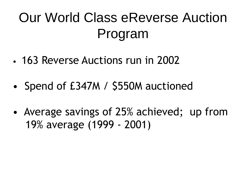# Our World Class eReverse Auction Program

- 163 Reverse Auctions run in 2002
- Spend of £347M / \$550M auctioned
- Average savings of 25% achieved; up from 19% average (1999 - 2001)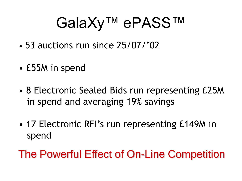# GalaXy™ ePASS™

- 53 auctions run since 25/07/"02
- £55M in spend
- 8 Electronic Sealed Bids run representing £25M in spend and averaging 19% savings
- 17 Electronic RFI's run representing £149M in spend
- The Powerful Effect of On-Line Competition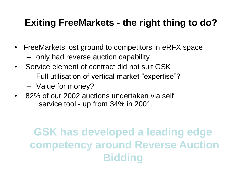#### **Exiting FreeMarkets - the right thing to do?**

- FreeMarkets lost ground to competitors in eRFX space
	- only had reverse auction capability
- Service element of contract did not suit GSK
	- Full utilisation of vertical market "expertise"?
	- Value for money?
- 82% of our 2002 auctions undertaken via self service tool - up from 34% in 2001.

### **GSK has developed a leading edge competency around Reverse Auction Bidding**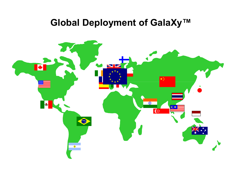#### **Global Deployment of GalaXy™**

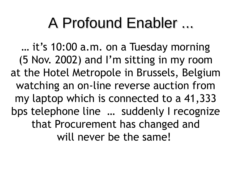## A Profound Enabler ...

... it's 10:00 a.m. on a Tuesday morning (5 Nov. 2002) and I"m sitting in my room at the Hotel Metropole in Brussels, Belgium watching an on-line reverse auction from my laptop which is connected to a 41,333 bps telephone line … suddenly I recognize that Procurement has changed and will never be the same!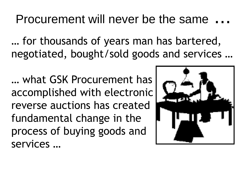### Procurement will never be the same

… for thousands of years man has bartered, negotiated, bought/sold goods and services …

… what GSK Procurement has accomplished with electronic reverse auctions has created fundamental change in the process of buying goods and services …

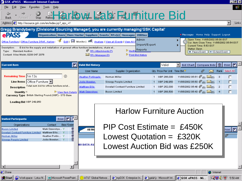| <b>S</b> GSK ePASS - Microsoft Internet Explorer                                                                                                                                                                                                |                                                                            |                                     |                                          |                                                                 |                | - FIX           |
|-------------------------------------------------------------------------------------------------------------------------------------------------------------------------------------------------------------------------------------------------|----------------------------------------------------------------------------|-------------------------------------|------------------------------------------|-----------------------------------------------------------------|----------------|-----------------|
| Favorites<br>Tools Help<br>File<br>View                                                                                                                                                                                                         |                                                                            |                                     |                                          |                                                                 |                |                 |
| <b>Arbw. ZB Furniture Bid</b><br>$\circ$<br>취<br>⇦<br>Refres<br>Back<br>Stop<br>Forward                                                                                                                                                         |                                                                            |                                     |                                          |                                                                 |                |                 |
| Address <b>B</b> http://esource.gsk.com/en/index.jsp?_eps_=Y                                                                                                                                                                                    |                                                                            |                                     |                                          |                                                                 |                | ▾<br>Links      |
| Gregg Brandyberry (Divisional Sourcing Manager), you are currently managing'GSK Capital'                                                                                                                                                        |                                                                            |                                     |                                          |                                                                 |                |                 |
| <b>ePASS</b><br>Organization   Users   Item Master   Suppliers   Events   RFx(s)   Messages<br>O Messages Home Help Support Logout<br><b>Utilities</b>                                                                                          |                                                                            |                                     |                                          |                                                                 |                |                 |
| Admin<br>Open Time: 11/05/2002 05:00 EST<br><mark></mark><br>Edit   9 Monitor   00 Analyze   View all Events   View All<br>Office Furniture   Office Furniture DRAF, Harlow:<br>Cur. Item Close Time: 11/05/2002 05:54 EST                      |                                                                            |                                     |                                          |                                                                 |                |                 |
| Import/Export<br>Current Time: 5:53 EST<br>E-bid for the supply and installation of general office furniture (workstations, chairs et<br>Description:<br>Status: Open                                                                           |                                                                            |                                     |                                          |                                                                 |                |                 |
| <b>Exactive Reports</b><br>$\mathscr{D}_{\mathsf{RF} \times \mathsf{Attachments}(7)}$<br>Type: Standard Auction<br>II Pause Event   I→ Extend Event<br>Contact: Giles Welsh; 0208 047 2076<br>$\boxtimes$ RFx Messages (0)<br>Print Bid History |                                                                            |                                     |                                          |                                                                 |                |                 |
|                                                                                                                                                                                                                                                 |                                                                            |                                     |                                          |                                                                 |                |                 |
| <b>Current Item</b><br>$\blacksquare$                                                                                                                                                                                                           | <b>Valid Bid History</b>                                                   |                                     | Valid                                    | Bid Chart<br>Compare Bids<br>▼                                  | 圙              | Print           |
|                                                                                                                                                                                                                                                 | User Name                                                                  | Supplier Organization               | Qty Price Per Unit Time Bid <sup>√</sup> |                                                                 | ᢂ              | Rank Select All |
| Remaining Time 1m 13s<br>$^\circledR$                                                                                                                                                                                                           | <b>Heather Portingale</b>                                                  | Herman Miller                       | GBP 266,000<br>1                         | 11/05/2002 05:51 $\mathcal{O}_{(0)}$ $\overline{\boxtimes}$ (0) | - 3            | $\Box$          |
| <b>Line Items</b> Office Furniture                                                                                                                                                                                                              | <b>Jodie Bowden</b>                                                        | Sinergy People Limited              | GBP 249,950                              | 11/05/2002 05:50 $\mathcal{O}_{(0)}$ $\boxtimes$ $_{(0)}$       | $\blacksquare$ | $\Box$          |
| Description Total sum bid for office furniture solut                                                                                                                                                                                            | Matthew Ellis                                                              | Dovetail Contract Furniture Limited | GBP 252,000                              | 11/05/2002 05:48 $\mathcal{O}_{(0)}$ $\boxtimes$ 0)             | $\overline{2}$ | $\Box$          |
| Quantity 1<br>▷ View Item Details<br>Currency Type British Sterling Pound (GBP) - STD Base                                                                                                                                                      | Mark Ossendryer                                                            | <b>Bucon Limited</b>                | GBP 268,500                              | 11/05/2002 05:43 $\mathcal{O}_{(0)}$ $\boxtimes$ $_{(0)}$       | $\overline{4}$ |                 |
|                                                                                                                                                                                                                                                 |                                                                            |                                     |                                          |                                                                 |                |                 |
| Leading Bid GBP 249,950                                                                                                                                                                                                                         |                                                                            |                                     |                                          |                                                                 |                |                 |
|                                                                                                                                                                                                                                                 | <b>Harlow Furniture Auction</b>                                            |                                     |                                          |                                                                 |                |                 |
| Print   乙<br><b>Invited Participants</b>                                                                                                                                                                                                        |                                                                            |                                     |                                          |                                                                 |                |                 |
| Bids?Delet<br>Organizations<br>Contact                                                                                                                                                                                                          |                                                                            |                                     |                                          |                                                                 |                |                 |
| 氙<br><b>Bucon Limited</b><br>Mark Ossendrye Y                                                                                                                                                                                                   | $PIP Cost Estimate = £450K$<br>$\overline{\mathbf{z}}$<br>All Me<br>Print: |                                     |                                          |                                                                 |                |                 |
| 氙<br>ovetail Contract Furniture Limited<br>Matthew Ellis<br>氙<br><u>Herman Miller</u><br>Heather Portin Y                                                                                                                                       | Lowest Quotation = $£320K$<br>‴                                            |                                     |                                          |                                                                 |                |                 |
| 氙<br><b>Sinergy People Limited</b><br>Jodie Bowden Y                                                                                                                                                                                            |                                                                            |                                     |                                          |                                                                 |                |                 |
|                                                                                                                                                                                                                                                 | NO DATA AV<br><b>Lowest Auction Bid was £250K</b>                          |                                     |                                          |                                                                 |                |                 |
|                                                                                                                                                                                                                                                 |                                                                            |                                     |                                          |                                                                 |                |                 |
|                                                                                                                                                                                                                                                 |                                                                            |                                     |                                          |                                                                 |                |                 |
|                                                                                                                                                                                                                                                 |                                                                            |                                     |                                          |                                                                 |                |                 |
| $\vert \cdot \vert$<br>$\blacktriangleright$                                                                                                                                                                                                    |                                                                            |                                     |                                          |                                                                 |                |                 |
| <b>B</b> Done<br><b>O</b> Internet<br>and Start   @ Workspace - Lotus N   ■ Microsoft PowerPoint   @ AT&T Global Networ   ● myGSK: Enterprise In   ● galaXy - Microsoft Int   ● GSK ePASS - Mi                                                  |                                                                            |                                     |                                          |                                                                 |                |                 |
|                                                                                                                                                                                                                                                 |                                                                            |                                     |                                          |                                                                 | 心心を思           | 5:50 AM         |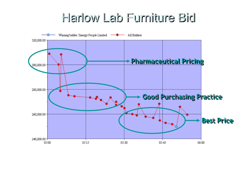### Harlow Lab Furniture Bid

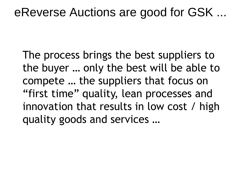### eReverse Auctions are good for GSK ...

The process brings the best suppliers to the buyer … only the best will be able to compete … the suppliers that focus on "first time" quality, lean processes and innovation that results in low cost / high quality goods and services …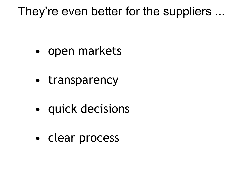### They're even better for the suppliers ...

- open markets
- transparency
- quick decisions
- clear process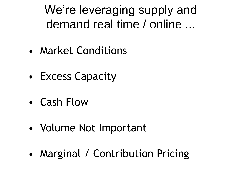We're leveraging supply and demand real time / online ...

- Market Conditions
- Excess Capacity
- Cash Flow
- Volume Not Important
- Marginal / Contribution Pricing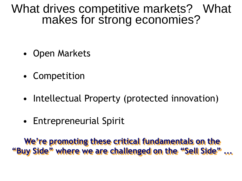### What drives competitive markets? What makes for strong economies?

- Open Markets
- Competition
- Intellectual Property (protected innovation)
- Entrepreneurial Spirit

**We're promoting these critical fundamentals on the "Buy Side" where we are challenged on the "Sell Side" ...**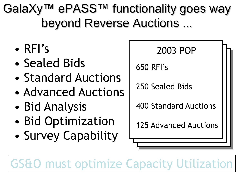GalaXy™ ePASS™ functionality goes way beyond Reverse Auctions ...

- RFI"s
- Sealed Bids
- Standard Auctions
- Advanced Auctions
- Bid Analysis
- Bid Optimization
- Survey Capability



```
650 RFI"s
```
250 Sealed Bids

400 Standard Auctions

125 Advanced Auctions

GS&O must optimize Capacity Utilization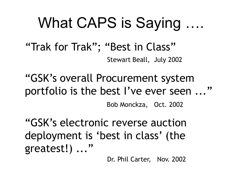## What CAPS is Saying ….

"Trak for Trak"; "Best in Class" Stewart Beall, July 2002

"GSK"s overall Procurement system portfolio is the best I've ever seen ..."

Bob Monckza, Oct. 2002

"GSK"s electronic reverse auction deployment is 'best in class' (the greatest!) ..."

Dr. Phil Carter, Nov. 2002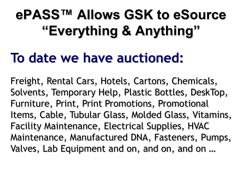# **ePASS™ Allows GSK to eSource "Everything & Anything"**

### **To date we have auctioned:**

Freight, Rental Cars, Hotels, Cartons, Chemicals, Solvents, Temporary Help, Plastic Bottles, DeskTop, Furniture, Print, Print Promotions, Promotional Items, Cable, Tubular Glass, Molded Glass, Vitamins, Facility Maintenance, Electrical Supplies, HVAC Maintenance, Manufactured DNA, Fasteners, Pumps, Valves, Lab Equipment and on, and on, and on …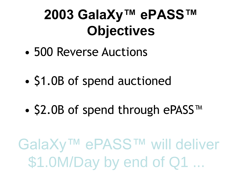## **2003 GalaXy™ ePASS™ Objectives**

- 500 Reverse Auctions
- \$1.0B of spend auctioned
- \$2.0B of spend through ePASS™

GalaXy™ ePASS™ will deliver \$1.0M/Day by end of Q1 ...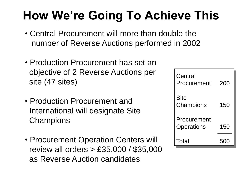### **How We're Going To Achieve This**

- Central Procurement will more than double the number of Reverse Auctions performed in 2002
- Production Procurement has set an objective of 2 Reverse Auctions per site (47 sites)
- Production Procurement and International will designate Site **Champions**
- Procurement Operation Centers will review all orders > £35,000 / \$35,000 as Reverse Auction candidates

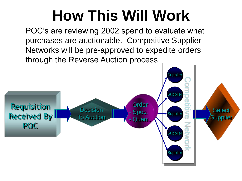# **How This Will Work**

POC's are reviewing 2002 spend to evaluate what purchases are auctionable. Competitive Supplier Networks will be pre-approved to expedite orders through the Reverse Auction process